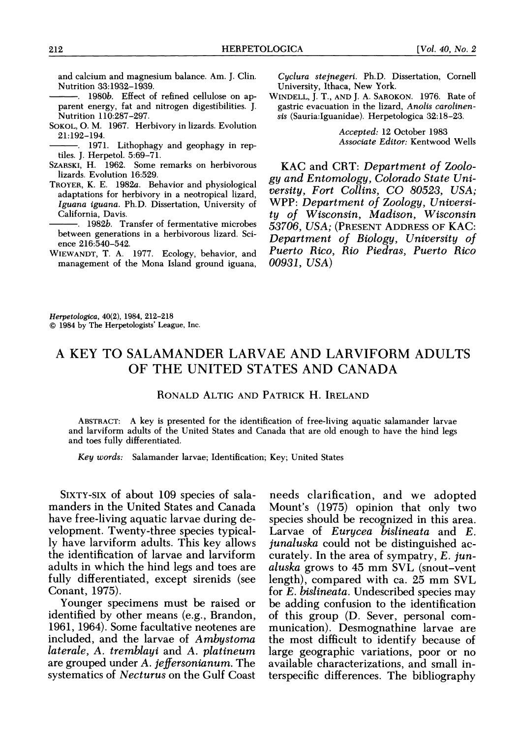and calcium and magnesium balance. Am. J. Clin. Nutrition 33:1932-1939.

- . 1980b. Effect of refined cellulose on ap parent energy, fat and nitrogen digestibilities. J. Nutrition 110:287-297.
- SOKOL, 0. M. 1967. Herbivory in lizards. Evolution 21:192-194.
- . 1971. Lithophagy and geophagy in rep tiles. J. Herpetol. 5:69-71.
- SZARSKI, H. 1962. Some remarks on herbivorous lizards. Evolution 16:529.
- TROYER, K. E. 1982a. Behavior and physiological adaptations for herbivory in a neotropical lizard, Iguana iguana. Ph.D. Dissertation, University of California, Davis.
- 1982b. Transfer of fermentative microbes between generations in a herbivorous lizard. Sci ence 216:540-542.
- WIEWANDT, T. A. 1977. Ecology, behavior, and management of the Mona Island ground iguana,

 Cyclura stejnegeri. Ph.D. Dissertation, Cornell University, Ithaca, New York.

 WINDELL, J. T., AND J. A. SAROKON. 1976. Rate of gastric evacuation in the lizard, Anolis carolinen sis (Sauria:Iguanidae). Herpetologica 32:18-23.

> Accepted: 12 October 1983 Associate Editor: Kentwood Wells

 KAC and CRT: Department of Zoolo gy and Entomology, Colorado State Uni versity, Fort Collins, CO 80523, USA; WPP: Department of Zoology, Universi ty of Wisconsin, Madison, Wisconsin 53706, USA; (PRESENT ADDRESS OF KAC: Department of Biology, University of Puerto Rico, Rio Piedras, Puerto Rico 00931, USA)

 Herpetologica, 40(2), 1984, 212-218  $© 1984 by The Herpetologists' League, Inc.$ 

## A KEY TO SALAMANDER LARVAE AND LARVIFORM ADULTS OF THE UNITED STATES AND CANADA

## RONALD ALTIG AND PATRICK H. IRELAND

 ABSTRACT: A key is presented for the identification of free-living aquatic salamander larvae and larviform adults of the United States and Canada that are old enough to have the hind legs and toes fully differentiated.

Key words: Salamander larvae; Identification; Key; United States

 SIXTY-SIX of about 109 species of sala manders in the United States and Canada have free-living aquatic larvae during de velopment. Twenty-three species typical ly have larviform adults. This key allows the identification of larvae and larviform adults in which the hind legs and toes are fully differentiated, except sirenids (see Conant, 1975).

 Younger specimens must be raised or identified by other means (e.g., Brandon, 1961, 1964). Some facultative neotenes are included, and the larvae of Ambystoma laterale, A. tremblayi and A. platineum are grouped under A. jeffersonianum. The systematics of Necturus on the Gulf Coast

 needs clarification, and we adopted Mount's (1975) opinion that only two species should be recognized in this area. Larvae of Eurycea bislineata and E. junaluska could not be distinguished ac curately. In the area of sympatry,  $E$ . jun aluska grows to 45 mm SVL (snout-vent length), compared with ca. 25 mm SVL for E. bislineata. Undescribed species may be adding confusion to the identification of this group (D. Sever, personal com munication). Desmognathine larvae are the most difficult to identify because of large geographic variations, poor or no available characterizations, and small in terspecific differences. The bibliography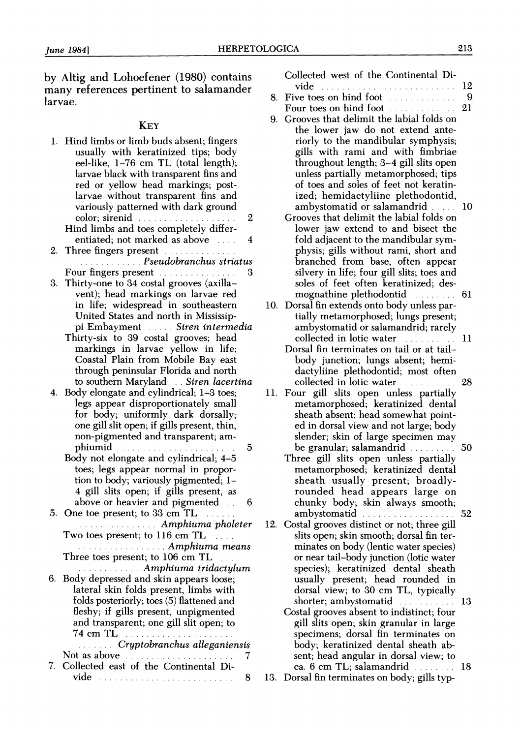by Altig and Lohoefener (1980) contains many references pertinent to salamander larvae.

## **KEY**

 1. Hind limbs or limb buds absent; fingers usually with keratinized tips; body eel-like, 1-76 cm TL (total length); larvae black with transparent fins and red or yellow head markings; post larvae without transparent fins and variously patterned with dark ground color; sirenid ......... .......... 2 Hind limbs and toes completely differ-

 entiated; not marked as above ... . 4 2. Three fingers present ..............

- ............ Pseudobranchus striatus Four fingers present ....... ........ 3
- 3. Thirty-one to 34 costal grooves (axilla vent); head markings on larvae red in life; widespread in southeastern United States and north in Mississip pi Embayment ..... Siren intermedia
	- Thirty-six to 39 costal grooves; head markings in larvae yellow in life; Coastal Plain from Mobile Bay east through peninsular Florida and north to southern Maryland . . Siren lacertina
- 4. Body elongate and cylindrical; 1-3 toes; legs appear disproportionately small for body; uniformly dark dorsally; one gill slit open; if gills present, thin, non-pigmented and transparent; am phiumid ....................... 5
	- Body not elongate and cylindrical; 4-5 toes; legs appear normal in propor tion to body; variously pigmented; 1- 4 gill slits open; if gills present, as above or heavier and pigmented . . 6
- 5. One toe present; to 33 cm TL . ...............Amphiuma pholeter
	- Two toes present; to 116 cm TL .... ..................... Amphiuma means Three toes present; to 106 cm TL ...
	- ............Amphiuma tridactylum
- 6. Body depressed and skin appears loose; lateral skin folds present, limbs with folds posteriorly; toes (5) flattened and fleshy; if gills present, unpigmented and transparent; one gill slit open; to 74 cm TL ........................

 ....... Cryptobranchus alleganiensis Not as above ........... .......... 7

 7. Collected east of the Continental Di vide .. 8 Collected west of the Continental Di-

- vide .... ..... ... ..... .... . 12
- 8. Five toes on hind foot ........ . 9 Four toes on hind foot .............
- 9. Grooves that delimit the labial folds on the lower jaw do not extend ante riorly to the mandibular symphysis; gills with rami and with fimbriae throughout length; 3-4 gill slits open unless partially metamorphosed; tips of toes and soles of feet not keratin ized; hemidactyliine plethodontid, ambystomatid or salamandrid ... 10
	- Grooves that delimit the labial folds on lower jaw extend to and bisect the fold adjacent to the mandibular sym physis; gills without rami, short and branched from base, often appear silvery in life; four gill slits; toes and soles of feet often keratinized; des mognathine plethodontid ....... 61
- 10. Dorsal fin extends onto body unless par tially metamorphosed; lungs present; ambystomatid or salamandrid; rarely collected in lotic water ............ 11
	- Dorsal fin terminates on tail or at tail body junction; lungs absent; hemi dactyliine plethodontid; most often collected in lotic water ... . 28
- 11. Four gill slits open unless partially metamorphosed; keratinized dental sheath absent; head somewhat point ed in dorsal view and not large; body slender; skin of large specimen may be granular; salamandrid .............. 50
	- Three gill slits open unless partially metamorphosed; keratinized dental sheath usually present; broadly rounded head appears large on chunky body; skin always smooth; ambystomatid ........................... 52
- 12. Costal grooves distinct or not; three gill slits open; skin smooth; dorsal fin ter minates on body (lentic water species) or near tail-body junction (lotic water species); keratinized dental sheath usually present; head rounded in dorsal view; to 30 cm TL, typically shorter; ambystomatid ............... 13
	- Costal grooves absent to indistinct; four gill slits open; skin granular in large specimens; dorsal fin terminates on body; keratinized dental sheath ab sent; head angular in dorsal view; to ca. 6 cm TL; salamandrid . .. . 18
- 13. Dorsal fin terminates on body; gills typ-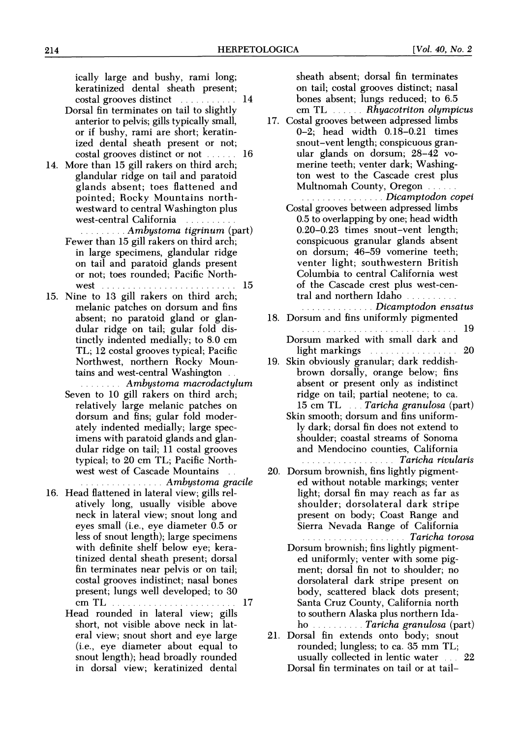ically large and bushy, rami long; keratinized dental sheath present; costal grooves distinct ........... 14

- Dorsal fin terminates on tail to slightly anterior to pelvis; gills typically small, or if bushy, rami are short; keratin ized dental sheath present or not; costal grooves distinct or not ...... 16
- 14. More than 15 gill rakers on third arch; glandular ridge on tail and paratoid glands absent; toes flattened and pointed; Rocky Mountains north westward to central Washington plus west-central California ...........
	- .........Ambystoma tigrinum (part) Fewer than 15 gill rakers on third arch; in large specimens, glandular ridge on tail and paratoid glands present or not; toes rounded; Pacific North- west ...... 15
- 15. Nine to 13 gill rakers on third arch; melanic patches on dorsum and fins absent; no paratoid gland or glan dular ridge on tail; gular fold dis tinctly indented medially; to 8.0 cm TL; 12 costal grooves typical; Pacific Northwest, northern Rocky Moun tains and west-central Washington . .
	- ........Ambystoma macrodactylum Seven to 10 gill rakers on third arch; relatively large melanic patches on dorsum and fins; gular fold moder ately indented medially; large spec imens with paratoid glands and glan dular ridge on tail; 11 costal grooves typical; to 20 cm TL; Pacific North west west of Cascade Mountains . . ... ............Ambystoma gracile
- 16. Head flattened in lateral view; gills rel atively long, usually visible above neck in lateral view; snout long and eyes small (i.e., eye diameter 0.5 or less of snout length); large specimens with definite shelf below eye; kera tinized dental sheath present; dorsal fin terminates near pelvis or on tail; costal grooves indistinct; nasal bones present; lungs well developed; to 30 cm TL .. 17
	- Head rounded in lateral view; gills short, not visible above neck in lat eral view; snout short and eye large (i.e., eye diameter about equal to snout length); head broadly rounded in dorsal view; keratinized dental

 sheath absent; dorsal fin terminates on tail; costal grooves distinct; nasal bones absent; lungs reduced; to 6.5 cm TL . . Rhyacotriton olympicus

- 17. Costal grooves between adpressed limbs 0-2; head width 0.18-0.21 times snout-vent length; conspicuous gran ular glands on dorsum; 28-42 vo merine teeth; venter dark; Washing ton west to the Cascade crest plus Multnomah County, Oregon . ............... Dicamptodon copei
	- Costal grooves between adpressed limbs 0.5 to overlapping by one; head width 0.20-0.23 times snout-vent length; conspicuous granular glands absent on dorsum; 46-59 vomerine teeth; venter light; southwestern British Columbia to central California west of the Cascade crest plus west-cen tral and northern Idaho. .......... ... Dicamptodon ensatus
- 18. Dorsum and fins uniformly pigmented .............................. 19
	- Dorsum marked with small dark and light markings **........................** 20
- 19. Skin obviously granular; dark reddish brown dorsally, orange below; fins absent or present only as indistinct ridge on tail; partial neotene; to ca. 15 cm TL ... Taricha granulosa (part)
	- Skin smooth; dorsum and fins uniform ly dark; dorsal fin does not extend to shoulder; coastal streams of Sonoma and Mendocino counties, California ................... Taricha rivularis
- 20. Dorsum brownish, fins lightly pigment ed without notable markings; venter light; dorsal fin may reach as far as shoulder; dorsolateral dark stripe present on body; Coast Range and Sierra Nevada Range of California
	- .................... .Taricha torosa Dorsum brownish; fins lightly pigment ed uniformly; venter with some pig ment; dorsal fin not to shoulder; no dorsolateral dark stripe present on body, scattered black dots present; Santa Cruz County, California north to southern Alaska plus northern Ida ho .. Taricha granulosa (part)
- 21. Dorsal fin extends onto body; snout rounded; lungless; to ca. 35 mm TL; usually collected in lentic water ... 22 Dorsal fin terminates on tail or at tail-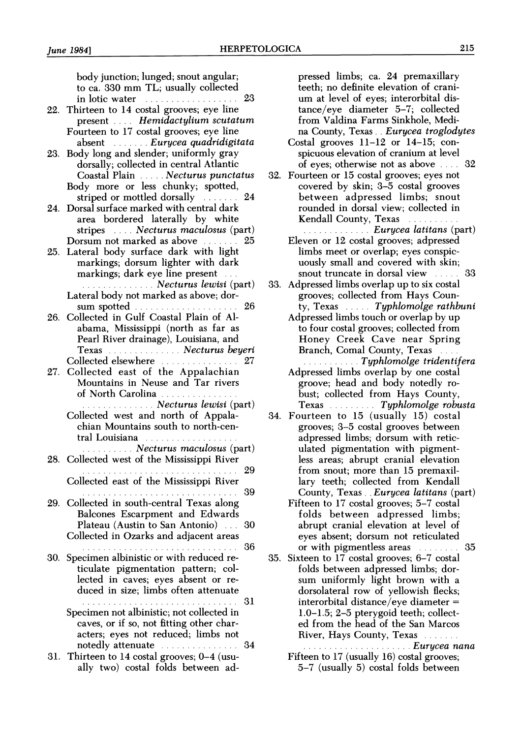body junction; lunged; snout angular; to ca. 330 mm TL; usually collected in lotic water **......................** 23 22. Thirteen to 14 costal grooves; eye line present .... Hemidactylium scutatum Fourteen to 17 costal grooves; eye line absent ....... Eurycea quadridigitata 23. Body long and slender; uniformly gray dorsally; collected in central Atlantic Coastal Plain .... Necturus punctatus Body more or less chunky; spotted, striped or mottled dorsally ....... 24 24. Dorsal surface marked with central dark area bordered laterally by white stripes .... Necturus maculosus (part) Dorsum not marked as above ...... 25 25. Lateral body surface dark with light markings; dorsum lighter with dark markings; dark eye line present . ................ Necturus lewisi (part) Lateral body not marked as above; dor sum spotted .................... 26 26. Collected in Gulf Coastal Plain of Al abama, Mississippi (north as far as Pearl River drainage), Louisiana, and Texas .............. Necturus beyeri Collected elsewhere .............. 27 27. Collected east of the Appalachian Mountains in Neuse and Tar rivers of North Carolina .............. .............. Necturus lewisi (part) Collected west and north of Appala chian Mountains south to north-cen tral Louisiana ..................... ........... Necturus maculosus (part) 28. Collected west of the Mississippi River . . . . . . . . . . . . . . . . . . . . . . . . . . . . . . 2 9 Collected east of the Mississippi River . . . . . . . . . . . . . . . . . . . . . . . . . . . . .. 3 9 29. Collected in south-central Texas along Balcones Escarpment and Edwards Plateau (Austin to San Antonio) . . . 30 Collected in Ozarks and adjacent areas .............................. 36 30. Specimen albinistic or with reduced re ticulate pigmentation pattern; col lected in caves; eyes absent or re duced in size; limbs often attenuate .............................. 31 Specimen not albinistic; not collected in caves, or if so, not fitting other char acters; eyes not reduced; limbs not notedly attenuate .............. 34 31. Thirteen to 14 costal grooves; 0-4 (usu ally two) costal folds between ad-

 pressed limbs; ca. 24 premaxillary teeth; no definite elevation of crani um at level of eyes; interorbital dis tance/eye diameter 5-7; collected from Valdina Farms Sinkhole, Medi na County, Texas. . Eurycea troglodytes

 Costal grooves 11-12 or 14-15; con spicuous elevation of cranium at level of eyes; otherwise not as above . ... 32

- 32. Fourteen or 15 costal grooves; eyes not covered by skin; 3-5 costal grooves between adpressed limbs; snout rounded in dorsal view; collected in Kendall County, Texas ..........
	- ............... Eurycea latitans (part) Eleven or 12 costal grooves; adpressed limbs meet or overlap; eyes conspic uously small and covered with skin; snout truncate in dorsal view .... 33
- 33. Adpressed limbs overlap up to six costal grooves; collected from Hays Coun ty, Texas  $\ldots$  Typhlomolge rathbuni
	- Adpressed limbs touch or overlap by up to four costal grooves; collected from Honey Creek Cave near Spring Branch, Comal County, Texas .... .......... Typhlomolge tridentifera
	- Adpressed limbs overlap by one costal groove; head and body notedly ro bust; collected from Hays County, Texas . . . . . . . . Typhlomolge robusta
- 34. Fourteen to 15 (usually 15) costal grooves; 3-5 costal grooves between adpressed limbs; dorsum with retic ulated pigmentation with pigment less areas; abrupt cranial elevation from snout; more than 15 premaxil lary teeth; collected from Kendall County, Texas. . Eurycea latitans (part)
	- Fifteen to 17 costal grooves; 5-7 costal folds between adpressed limbs; abrupt cranial elevation at level of eyes absent; dorsum not reticulated or with pigmentless areas .. . 35
- 35. Sixteen to 17 costal grooves; 6-7 costal folds between adpressed limbs; dor sum uniformly light brown with a dorsolateral row of yellowish flecks; interorbital distance/eye diameter = 1.0-1.5; 2-5 pterygoid teeth; collect ed from the head of the San Marcos River, Hays County, Texas . ..................... Eurycea nana

 Fifteen to 17 (usually 16) costal grooves; 5-7 (usually 5) costal folds between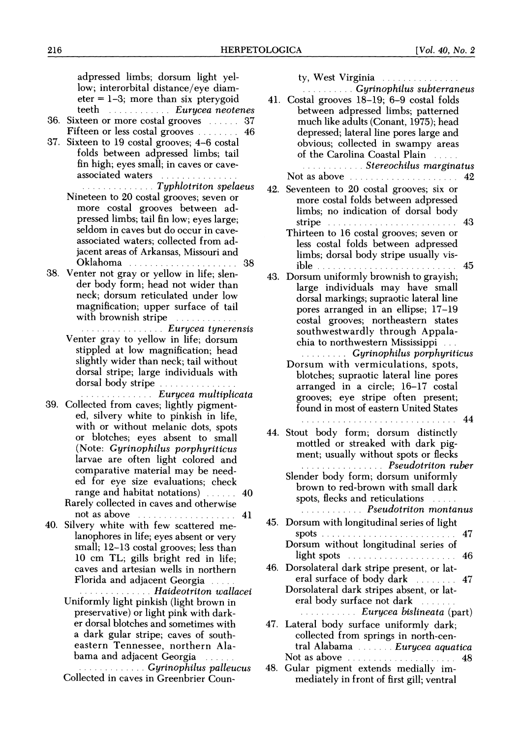| adpressed limbs; dorsum light yel-<br>low; interorbital distance/eye diam-            | ty, West Virginia<br><b>Cyrinophilus subterraneus</b>                                                                                                                                                                                                                 |  |
|---------------------------------------------------------------------------------------|-----------------------------------------------------------------------------------------------------------------------------------------------------------------------------------------------------------------------------------------------------------------------|--|
| $\text{eter} = 1-3$ ; more than six pterygoid<br>teeth  Eurycea neotenes              | 41. Costal grooves 18-19; 6-9 costal folds<br>between adpressed limbs; patterned                                                                                                                                                                                      |  |
| 36. Sixteen or more costal grooves  37                                                | much like adults (Conant, 1975); head                                                                                                                                                                                                                                 |  |
| Fifteen or less costal grooves  46<br>37. Sixteen to 19 costal grooves; 4-6 costal    | depressed; lateral line pores large and<br>obvious; collected in swampy areas                                                                                                                                                                                         |  |
| folds between adpressed limbs; tail                                                   | of the Carolina Coastal Plain                                                                                                                                                                                                                                         |  |
| fin high; eyes small; in caves or cave-<br>associated waters                          | <b>Stereochilus marginatus</b><br>Not as above <i>manufacturers</i> and the set of the set of the set of the set of the set of the set of the set of the set of the set of the set of the set of the set of the set of the set of the set of the set of the set of th |  |
| <b><i>Iyphlotriton spelaeus</i></b>                                                   | 42. Seventeen to 20 costal grooves; six or                                                                                                                                                                                                                            |  |
| Nineteen to 20 costal grooves; seven or<br>more costal grooves between ad-            | more costal folds between adpressed                                                                                                                                                                                                                                   |  |
| pressed limbs; tail fin low; eyes large;                                              | limbs; no indication of dorsal body<br>stripe $\ldots \ldots \ldots \ldots \ldots \ldots \ldots \ldots \ldots$                                                                                                                                                        |  |
| seldom in caves but do occur in cave-                                                 | Thirteen to 16 costal grooves; seven or                                                                                                                                                                                                                               |  |
| associated waters; collected from ad-<br>jacent areas of Arkansas, Missouri and       | less costal folds between adpressed                                                                                                                                                                                                                                   |  |
| Oklahoma<br>-38                                                                       | limbs; dorsal body stripe usually vis-                                                                                                                                                                                                                                |  |
| 38. Venter not gray or yellow in life; slen-<br>der body form; head not wider than    | 43. Dorsum uniformly brownish to grayish;                                                                                                                                                                                                                             |  |
| neck; dorsum reticulated under low                                                    | large individuals may have small<br>dorsal markings; supraotic lateral line                                                                                                                                                                                           |  |
| magnification; upper surface of tail                                                  | pores arranged in an ellipse; 17-19                                                                                                                                                                                                                                   |  |
| with brownish stripe<br>. Eurycea tynerensis                                          | costal grooves; northeastern states<br>southwestwardly through Appala-                                                                                                                                                                                                |  |
| Venter gray to yellow in life; dorsum                                                 | chia to northwestern Mississippi                                                                                                                                                                                                                                      |  |
| stippled at low magnification; head<br>slightly wider than neck; tail without         | <b>Cyrinophilus porphyriticus</b>                                                                                                                                                                                                                                     |  |
| dorsal stripe; large individuals with                                                 | Dorsum with vermiculations, spots,<br>blotches; supraotic lateral line pores                                                                                                                                                                                          |  |
| <u>. Eurycea multiplicata</u>                                                         | arranged in a circle; 16-17 costal                                                                                                                                                                                                                                    |  |
| 39. Collected from caves; lightly pigment-                                            | grooves; eye stripe often present;<br>found in most of eastern United States                                                                                                                                                                                          |  |
| ed, silvery white to pinkish in life,                                                 | -44                                                                                                                                                                                                                                                                   |  |
| with or without melanic dots, spots<br>or blotches; eyes absent to small              | 44. Stout body form; dorsum distinctly                                                                                                                                                                                                                                |  |
| (Note: Gyrinophilus porphyriticus                                                     | mottled or streaked with dark pig-<br>ment; usually without spots or flecks                                                                                                                                                                                           |  |
| larvae are often light colored and<br>comparative material may be need-               | <b><i>Exercisedential Pseudotriton ruber</i></b>                                                                                                                                                                                                                      |  |
| ed for eye size evaluations; check                                                    | Slender body form; dorsum uniformly<br>brown to red-brown with small dark                                                                                                                                                                                             |  |
| range and habitat notations)  40                                                      | spots, flecks and reticulations                                                                                                                                                                                                                                       |  |
| Rarely collected in caves and otherwise<br>not as above <i>included</i> and <b>41</b> | <b><i>Pseudotriton montanus</i></b>                                                                                                                                                                                                                                   |  |
| 40. Silvery white with few scattered me-                                              | 45. Dorsum with longitudinal series of light                                                                                                                                                                                                                          |  |
| lanophores in life; eyes absent or very<br>small; 12-13 costal grooves; less than     | Dorsum without longitudinal series of                                                                                                                                                                                                                                 |  |
| 10 cm TL; gills bright red in life;                                                   | light spots experience in the set of the spots of the set of the set of the set of the set of the set of the s                                                                                                                                                        |  |
| caves and artesian wells in northern<br>Florida and adjacent Georgia                  | 46. Dorsolateral dark stripe present, or lat-<br>eral surface of body dark 11.1.1.1.1.1.1.47                                                                                                                                                                          |  |
| . Haideotriton wallacei                                                               | Dorsolateral dark stripes absent, or lat-                                                                                                                                                                                                                             |  |
| Uniformly light pinkish (light brown in                                               | eral body surface not dark<br>Eurycea bislineata (part)                                                                                                                                                                                                               |  |
| preservative) or light pink with dark-<br>er dorsal blotches and sometimes with       | 47. Lateral body surface uniformly dark;                                                                                                                                                                                                                              |  |
| a dark gular stripe; caves of south-                                                  | collected from springs in north-cen-                                                                                                                                                                                                                                  |  |
| eastern Tennessee, northern Ala-<br>bama and adjacent Georgia                         | tral Alabama  Eurycea aquatica<br>Not as above <i>manufacturers</i> and the set of the set of the set of the set of the set of the set of the set of the set of the set of the set of the set of the set of the set of the set of the set of the set of the set of th |  |
| <b><i>Cyrinophilus palleucus</i></b> <i>currinophilus palleucus</i>                   | 48. Gular pigment extends medially im-                                                                                                                                                                                                                                |  |
| Collected in caves in Greenbrier Coun-                                                | mediately in front of first gill; ventral                                                                                                                                                                                                                             |  |
|                                                                                       |                                                                                                                                                                                                                                                                       |  |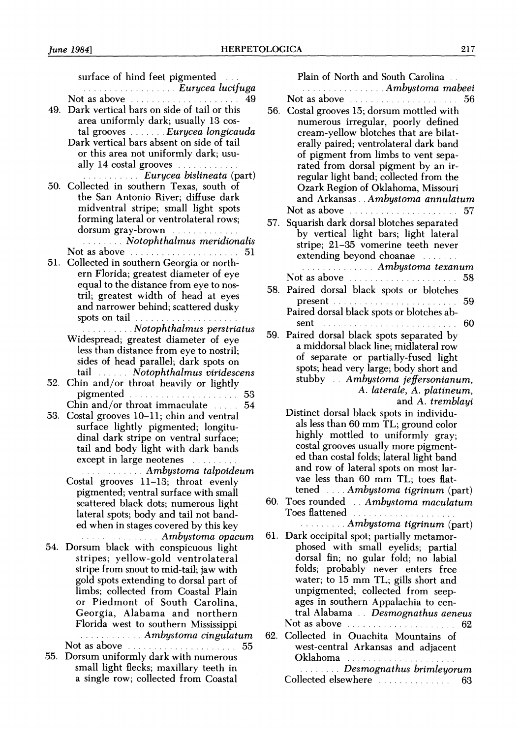| surface of hind feet pigmented<br><b><i>Eurycea lucifuga</i></b><br>Not as above<br>-49<br>49. Dark vertical bars on side of tail or this<br>area uniformly dark; usually 13 cos-<br>tal grooves  Eurycea longicauda<br>Dark vertical bars absent on side of tail<br>or this area not uniformly dark; usu-<br>ally 14 costal grooves<br><i>Eurycea bislineata</i> (part)<br>50. Collected in southern Texas, south of<br>the San Antonio River; diffuse dark<br>midventral stripe; small light spots<br>forming lateral or ventrolateral rows;<br>dorsum gray-brown<br><b><i>Communist Motophthalmus meridionalis</i></b><br>Not as above <i>manufacturers</i> and the set of the set of the set of the set of the set of the set of the set of the set of the set of the set of the set of the set of the set of the set of the set of the set of the set of th | Plain of North and South Carolina<br><i><b>Ambystoma mabeei</b> Ambystoma mabeei</i><br>Not as above<br>56<br>56. Costal grooves 15; dorsum mottled with<br>numerous irregular, poorly defined<br>cream-yellow blotches that are bilat-<br>erally paired; ventrolateral dark band<br>of pigment from limbs to vent sepa-<br>rated from dorsal pigment by an ir-<br>regular light band; collected from the<br>Ozark Region of Oklahoma, Missouri<br>and Arkansas Ambystoma annulatum<br>Not as above contained a series of 57<br>57. Squarish dark dorsal blotches separated<br>by vertical light bars; light lateral<br>stripe; 21-35 vomerine teeth never<br>extending beyond choanae |  |
|------------------------------------------------------------------------------------------------------------------------------------------------------------------------------------------------------------------------------------------------------------------------------------------------------------------------------------------------------------------------------------------------------------------------------------------------------------------------------------------------------------------------------------------------------------------------------------------------------------------------------------------------------------------------------------------------------------------------------------------------------------------------------------------------------------------------------------------------------------------|----------------------------------------------------------------------------------------------------------------------------------------------------------------------------------------------------------------------------------------------------------------------------------------------------------------------------------------------------------------------------------------------------------------------------------------------------------------------------------------------------------------------------------------------------------------------------------------------------------------------------------------------------------------------------------------|--|
| 51. Collected in southern Georgia or north-                                                                                                                                                                                                                                                                                                                                                                                                                                                                                                                                                                                                                                                                                                                                                                                                                      | <i><b>Ambystoma texanum</b></i>                                                                                                                                                                                                                                                                                                                                                                                                                                                                                                                                                                                                                                                        |  |
| ern Florida; greatest diameter of eye                                                                                                                                                                                                                                                                                                                                                                                                                                                                                                                                                                                                                                                                                                                                                                                                                            |                                                                                                                                                                                                                                                                                                                                                                                                                                                                                                                                                                                                                                                                                        |  |
| equal to the distance from eye to nos-<br>tril; greatest width of head at eyes                                                                                                                                                                                                                                                                                                                                                                                                                                                                                                                                                                                                                                                                                                                                                                                   | 58. Paired dorsal black spots or blotches                                                                                                                                                                                                                                                                                                                                                                                                                                                                                                                                                                                                                                              |  |
| and narrower behind; scattered dusky                                                                                                                                                                                                                                                                                                                                                                                                                                                                                                                                                                                                                                                                                                                                                                                                                             | 59                                                                                                                                                                                                                                                                                                                                                                                                                                                                                                                                                                                                                                                                                     |  |
| spots on tail                                                                                                                                                                                                                                                                                                                                                                                                                                                                                                                                                                                                                                                                                                                                                                                                                                                    | Paired dorsal black spots or blotches ab-<br>sent $\ldots \ldots \ldots \ldots \ldots \ldots \ldots \ldots \ldots 60$                                                                                                                                                                                                                                                                                                                                                                                                                                                                                                                                                                  |  |
| <b><i>Communicate System Motophthalmus perstriatus</i></b><br>Widespread; greatest diameter of eye                                                                                                                                                                                                                                                                                                                                                                                                                                                                                                                                                                                                                                                                                                                                                               | 59. Paired dorsal black spots separated by                                                                                                                                                                                                                                                                                                                                                                                                                                                                                                                                                                                                                                             |  |
| less than distance from eye to nostril;                                                                                                                                                                                                                                                                                                                                                                                                                                                                                                                                                                                                                                                                                                                                                                                                                          | a middorsal black line; midlateral row                                                                                                                                                                                                                                                                                                                                                                                                                                                                                                                                                                                                                                                 |  |
| sides of head parallel; dark spots on                                                                                                                                                                                                                                                                                                                                                                                                                                                                                                                                                                                                                                                                                                                                                                                                                            | of separate or partially-fused light<br>spots; head very large; body short and                                                                                                                                                                                                                                                                                                                                                                                                                                                                                                                                                                                                         |  |
| tail Notophthalmus viridescens<br>52. Chin and/or throat heavily or lightly                                                                                                                                                                                                                                                                                                                                                                                                                                                                                                                                                                                                                                                                                                                                                                                      | stubby . Ambystoma jeffersonianum,                                                                                                                                                                                                                                                                                                                                                                                                                                                                                                                                                                                                                                                     |  |
|                                                                                                                                                                                                                                                                                                                                                                                                                                                                                                                                                                                                                                                                                                                                                                                                                                                                  | A. laterale, A. platineum,                                                                                                                                                                                                                                                                                                                                                                                                                                                                                                                                                                                                                                                             |  |
| Chin and/or throat immaculate $\ldots$ 54                                                                                                                                                                                                                                                                                                                                                                                                                                                                                                                                                                                                                                                                                                                                                                                                                        | and A. tremblayi<br>Distinct dorsal black spots in individu-                                                                                                                                                                                                                                                                                                                                                                                                                                                                                                                                                                                                                           |  |
| 53. Costal grooves 10-11; chin and ventral<br>surface lightly pigmented; longitu-                                                                                                                                                                                                                                                                                                                                                                                                                                                                                                                                                                                                                                                                                                                                                                                | als less than 60 mm TL; ground color                                                                                                                                                                                                                                                                                                                                                                                                                                                                                                                                                                                                                                                   |  |
| dinal dark stripe on ventral surface;                                                                                                                                                                                                                                                                                                                                                                                                                                                                                                                                                                                                                                                                                                                                                                                                                            | highly mottled to uniformly gray;                                                                                                                                                                                                                                                                                                                                                                                                                                                                                                                                                                                                                                                      |  |
| tail and body light with dark bands                                                                                                                                                                                                                                                                                                                                                                                                                                                                                                                                                                                                                                                                                                                                                                                                                              | costal grooves usually more pigment-<br>ed than costal folds; lateral light band                                                                                                                                                                                                                                                                                                                                                                                                                                                                                                                                                                                                       |  |
| except in large neotenes<br><b><i>Communisty Ambystoma talpoideum</i></b>                                                                                                                                                                                                                                                                                                                                                                                                                                                                                                                                                                                                                                                                                                                                                                                        | and row of lateral spots on most lar-                                                                                                                                                                                                                                                                                                                                                                                                                                                                                                                                                                                                                                                  |  |
| Costal grooves 11-13; throat evenly                                                                                                                                                                                                                                                                                                                                                                                                                                                                                                                                                                                                                                                                                                                                                                                                                              | vae less than 60 mm TL; toes flat-                                                                                                                                                                                                                                                                                                                                                                                                                                                                                                                                                                                                                                                     |  |
| pigmented; ventral surface with small                                                                                                                                                                                                                                                                                                                                                                                                                                                                                                                                                                                                                                                                                                                                                                                                                            | tened  Ambystoma tigrinum (part)                                                                                                                                                                                                                                                                                                                                                                                                                                                                                                                                                                                                                                                       |  |
| scattered black dots; numerous light<br>lateral spots; body and tail not band-                                                                                                                                                                                                                                                                                                                                                                                                                                                                                                                                                                                                                                                                                                                                                                                   | 60. Toes rounded . Ambystoma maculatum<br>Toes flattened                                                                                                                                                                                                                                                                                                                                                                                                                                                                                                                                                                                                                               |  |
| ed when in stages covered by this key                                                                                                                                                                                                                                                                                                                                                                                                                                                                                                                                                                                                                                                                                                                                                                                                                            | Ambystoma tigrinum (part)                                                                                                                                                                                                                                                                                                                                                                                                                                                                                                                                                                                                                                                              |  |
| <i><b>Ambystoma opacum</b></i>                                                                                                                                                                                                                                                                                                                                                                                                                                                                                                                                                                                                                                                                                                                                                                                                                                   | 61. Dark occipital spot; partially metamor-                                                                                                                                                                                                                                                                                                                                                                                                                                                                                                                                                                                                                                            |  |
| 54. Dorsum black with conspicuous light<br>stripes; yellow-gold ventrolateral                                                                                                                                                                                                                                                                                                                                                                                                                                                                                                                                                                                                                                                                                                                                                                                    | phosed with small eyelids; partial<br>dorsal fin; no gular fold; no labial                                                                                                                                                                                                                                                                                                                                                                                                                                                                                                                                                                                                             |  |
| stripe from snout to mid-tail; jaw with                                                                                                                                                                                                                                                                                                                                                                                                                                                                                                                                                                                                                                                                                                                                                                                                                          | folds; probably never enters free                                                                                                                                                                                                                                                                                                                                                                                                                                                                                                                                                                                                                                                      |  |
| gold spots extending to dorsal part of                                                                                                                                                                                                                                                                                                                                                                                                                                                                                                                                                                                                                                                                                                                                                                                                                           | water; to 15 mm TL; gills short and                                                                                                                                                                                                                                                                                                                                                                                                                                                                                                                                                                                                                                                    |  |
| limbs; collected from Coastal Plain<br>or Piedmont of South Carolina,                                                                                                                                                                                                                                                                                                                                                                                                                                                                                                                                                                                                                                                                                                                                                                                            | unpigmented; collected from seep-<br>ages in southern Appalachia to cen-                                                                                                                                                                                                                                                                                                                                                                                                                                                                                                                                                                                                               |  |
| Georgia, Alabama and northern                                                                                                                                                                                                                                                                                                                                                                                                                                                                                                                                                                                                                                                                                                                                                                                                                                    | tral Alabama . Desmognathus aeneus                                                                                                                                                                                                                                                                                                                                                                                                                                                                                                                                                                                                                                                     |  |
| Florida west to southern Mississippi                                                                                                                                                                                                                                                                                                                                                                                                                                                                                                                                                                                                                                                                                                                                                                                                                             | Not as above <i>manufacturers</i> of the set of the set of the set of the set of the set of the set of the set of the set of the set of the set of the set of the set of the set of the set of the set of the set of the set of the                                                                                                                                                                                                                                                                                                                                                                                                                                                    |  |
| <b><i>Exercised Ambystoma cingulatum</i></b><br>Not as above <i>manufacturers</i> and the state of 55                                                                                                                                                                                                                                                                                                                                                                                                                                                                                                                                                                                                                                                                                                                                                            | 62. Collected in Ouachita Mountains of<br>west-central Arkansas and adjacent                                                                                                                                                                                                                                                                                                                                                                                                                                                                                                                                                                                                           |  |
| 55. Dorsum uniformly dark with numerous                                                                                                                                                                                                                                                                                                                                                                                                                                                                                                                                                                                                                                                                                                                                                                                                                          | Oklahoma                                                                                                                                                                                                                                                                                                                                                                                                                                                                                                                                                                                                                                                                               |  |
| small light flecks; maxillary teeth in                                                                                                                                                                                                                                                                                                                                                                                                                                                                                                                                                                                                                                                                                                                                                                                                                           | <b><i>Comparison Desmognathus brimleyorum</i></b>                                                                                                                                                                                                                                                                                                                                                                                                                                                                                                                                                                                                                                      |  |

Collected elsewhere ........ ...... 63

 small light flecks; maxillary teeth in a single row; collected from Coastal